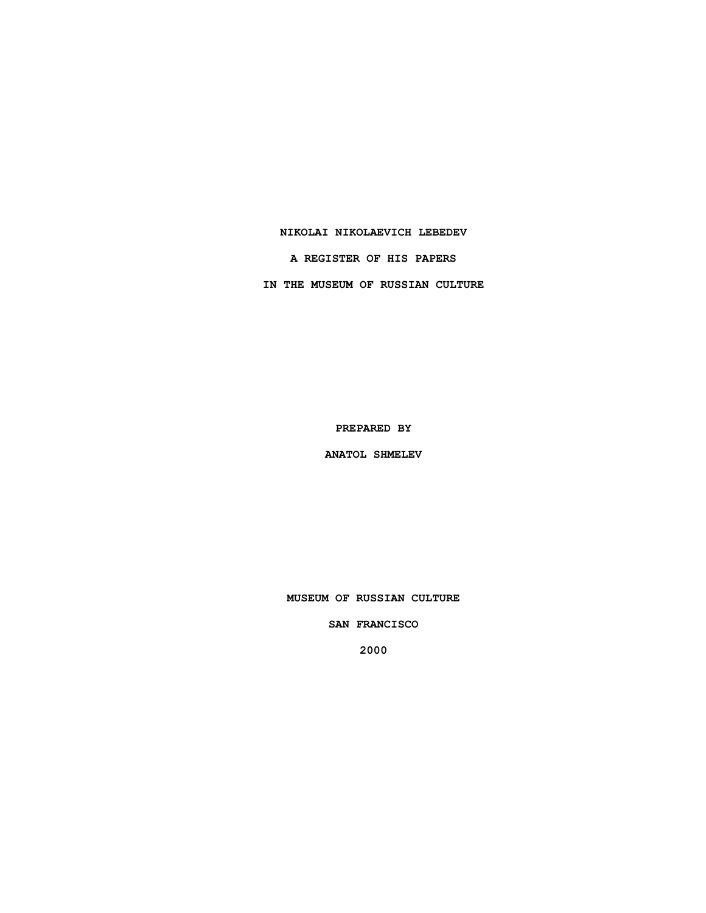### **NIKOLAI NIKOLAEVICH LEBEDEV**

**A REGISTER OF HIS PAPERS**

**IN THE MUSEUM OF RUSSIAN CULTURE**

**PREPARED BY**

**ANATOL SHMELEV**

**MUSEUM OF RUSSIAN CULTURE**

**SAN FRANCISCO**

**2000**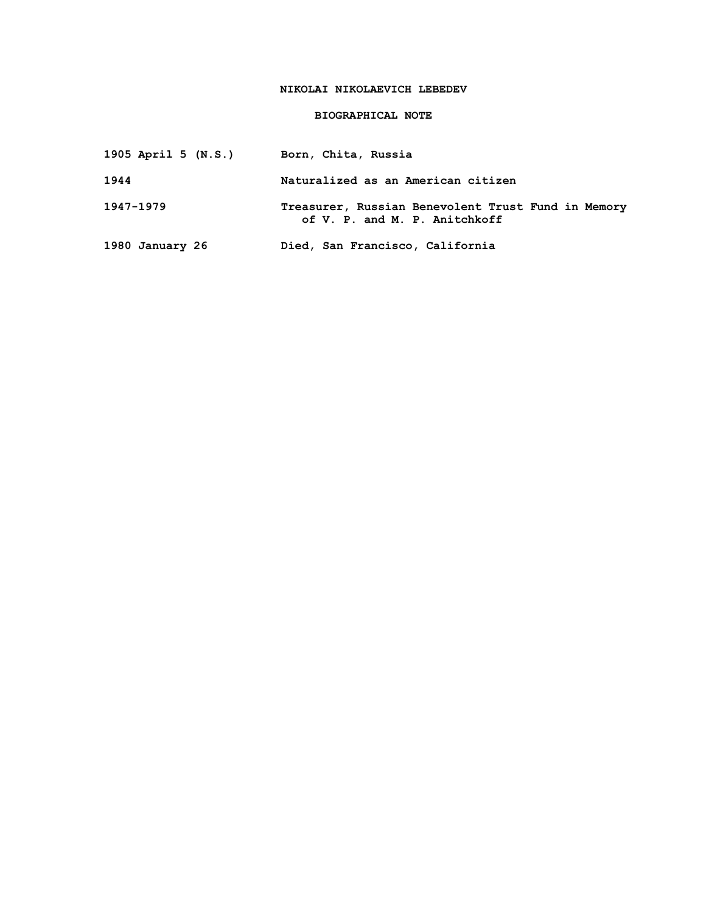## **NIKOLAI NIKOLAEVICH LEBEDEV**

## **BIOGRAPHICAL NOTE**

| 1905 April 5 (N.S.) | Born, Chita, Russia                                                                 |
|---------------------|-------------------------------------------------------------------------------------|
| 1944                | Naturalized as an American citizen                                                  |
| 1947-1979           | Treasurer, Russian Benevolent Trust Fund in Memory<br>of V. P. and M. P. Anitchkoff |
| 1980 January 26     | Died, San Francisco, California                                                     |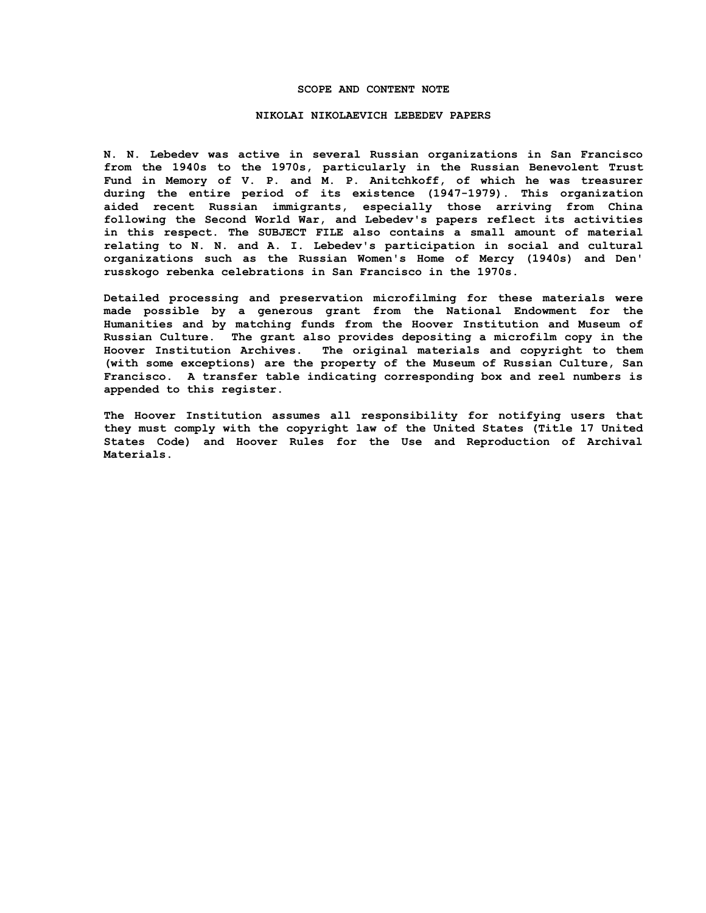#### **SCOPE AND CONTENT NOTE**

#### **NIKOLAI NIKOLAEVICH LEBEDEV PAPERS**

**N. N. Lebedev was active in several Russian organizations in San Francisco from the 1940s to the 1970s, particularly in the Russian Benevolent Trust Fund in Memory of V. P. and M. P. Anitchkoff, of which he was treasurer during the entire period of its existence (1947-1979). This organization aided recent Russian immigrants, especially those arriving from China following the Second World War, and Lebedev's papers reflect its activities in this respect. The SUBJECT FILE also contains a small amount of material relating to N. N. and A. I. Lebedev's participation in social and cultural organizations such as the Russian Women's Home of Mercy (1940s) and Den' russkogo rebenka celebrations in San Francisco in the 1970s.**

**Detailed processing and preservation microfilming for these materials were made possible by a generous grant from the National Endowment for the Humanities and by matching funds from the Hoover Institution and Museum of Russian Culture. The grant also provides depositing a microfilm copy in the Hoover Institution Archives. The original materials and copyright to them (with some exceptions) are the property of the Museum of Russian Culture, San Francisco. A transfer table indicating corresponding box and reel numbers is appended to this register.**

**The Hoover Institution assumes all responsibility for notifying users that they must comply with the copyright law of the United States (Title 17 United States Code) and Hoover Rules for the Use and Reproduction of Archival Materials.**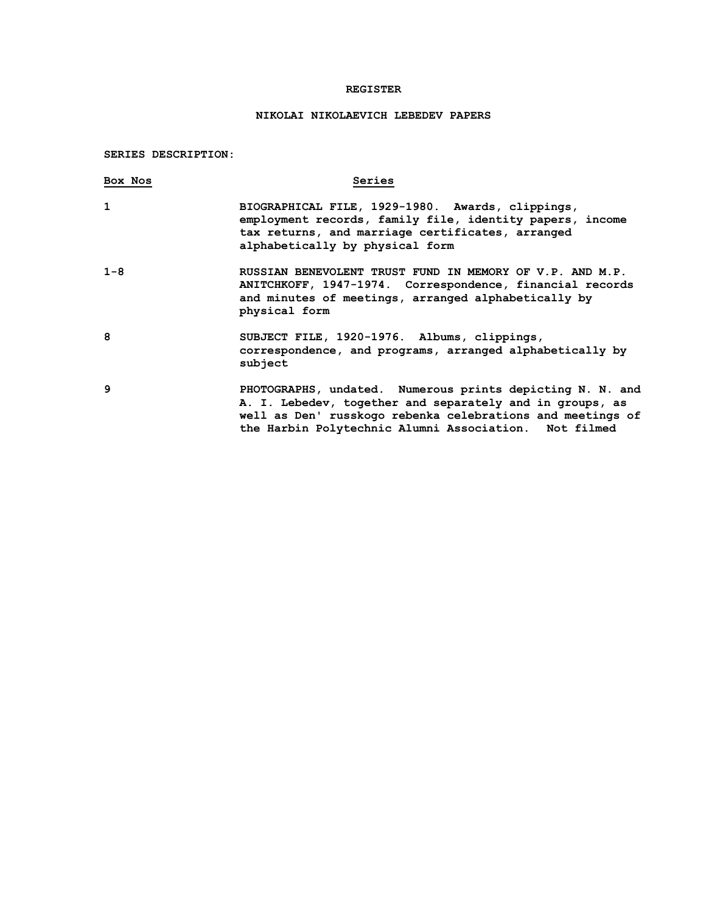## **REGISTER**

# **NIKOLAI NIKOLAEVICH LEBEDEV PAPERS**

**SERIES DESCRIPTION:**

| Box Nos | Series                                                                                                                                                                                                                                       |
|---------|----------------------------------------------------------------------------------------------------------------------------------------------------------------------------------------------------------------------------------------------|
| 1       | BIOGRAPHICAL FILE, 1929-1980. Awards, clippings,<br>employment records, family file, identity papers, income<br>tax returns, and marriage certificates, arranged<br>alphabetically by physical form                                          |
| $1 - 8$ | RUSSIAN BENEVOLENT TRUST FUND IN MEMORY OF V.P. AND M.P.<br>ANITCHKOFF, 1947-1974. Correspondence, financial records<br>and minutes of meetings, arranged alphabetically by<br>physical form                                                 |
| 8       | SUBJECT FILE, 1920-1976. Albums, clippings,<br>correspondence, and programs, arranged alphabetically by<br>subject                                                                                                                           |
| 9       | PHOTOGRAPHS, undated. Numerous prints depicting N. N. and<br>A. I. Lebedev, together and separately and in groups, as<br>well as Den' russkogo rebenka celebrations and meetings of<br>the Harbin Polytechnic Alumni Association. Not filmed |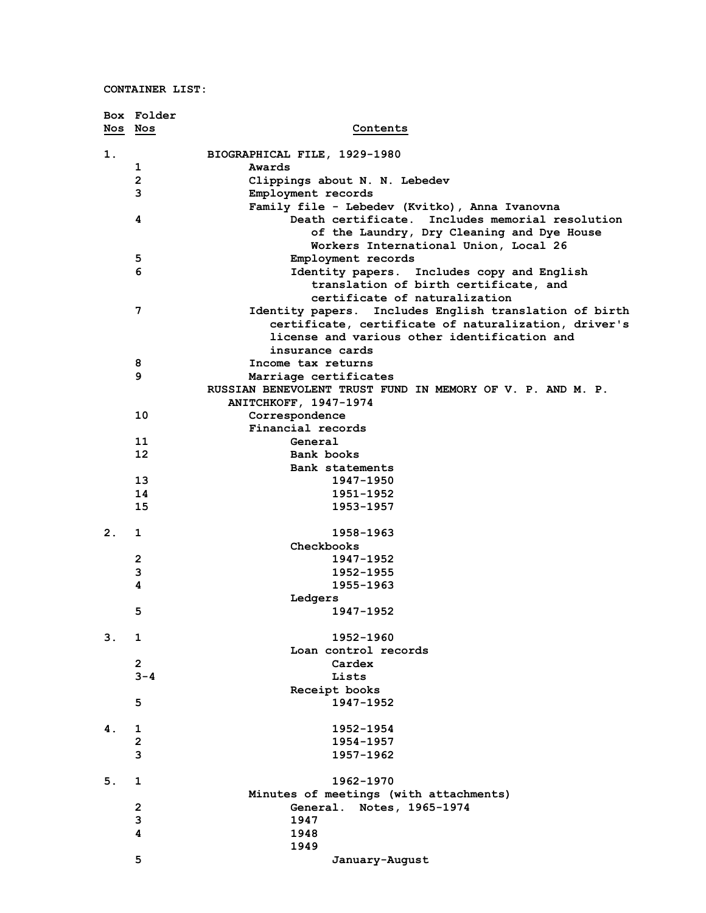**CONTAINER LIST:**

|         | Box Folder              |                                                            |
|---------|-------------------------|------------------------------------------------------------|
| Nos Nos |                         | Contents                                                   |
| 1.      |                         | BIOGRAPHICAL FILE, 1929-1980                               |
|         | 1                       | Awards                                                     |
|         | $\overline{\mathbf{2}}$ | Clippings about N. N. Lebedev                              |
|         | 3                       | Employment records                                         |
|         |                         | Family file - Lebedev (Kvitko), Anna Ivanovna              |
|         | 4                       | Death certificate.<br>Includes memorial resolution         |
|         |                         | of the Laundry, Dry Cleaning and Dye House                 |
|         |                         | Workers International Union, Local 26                      |
|         | 5                       | Employment records                                         |
|         | 6                       | Identity papers. Includes copy and English                 |
|         |                         | translation of birth certificate, and                      |
|         |                         | certificate of naturalization                              |
|         |                         |                                                            |
|         | 7                       | Identity papers. Includes English translation of birth     |
|         |                         | certificate, certificate of naturalization, driver's       |
|         |                         | license and various other identification and               |
|         |                         | insurance cards                                            |
|         | 8                       | Income tax returns                                         |
|         | 9                       | Marriage certificates                                      |
|         |                         | RUSSIAN BENEVOLENT TRUST FUND IN MEMORY OF V. P. AND M. P. |
|         |                         | ANITCHKOFF, 1947-1974                                      |
|         | 10                      | Correspondence                                             |
|         |                         | Financial records                                          |
|         | 11                      | General                                                    |
|         | 12                      | Bank books                                                 |
|         |                         | Bank statements                                            |
|         | 13                      | 1947-1950                                                  |
|         | 14                      | 1951-1952                                                  |
|         | 15                      | 1953-1957                                                  |
|         |                         |                                                            |
| 2.      | 1                       | 1958-1963                                                  |
|         |                         | Checkbooks                                                 |
|         | $\overline{\mathbf{c}}$ | 1947-1952                                                  |
|         | 3                       | 1952-1955                                                  |
|         | 4                       | 1955-1963                                                  |
|         |                         | Ledgers                                                    |
|         | 5                       | 1947-1952                                                  |
|         |                         |                                                            |
| 3.      | 1                       | 1952-1960                                                  |
|         |                         | Loan control records                                       |
|         | $\overline{2}$          | Cardex                                                     |
|         | $3 - 4$                 | Lists                                                      |
|         |                         | Receipt books                                              |
|         | 5                       | 1947-1952                                                  |
| 4.      | 1                       | 1952-1954                                                  |
|         | $\overline{2}$          | 1954-1957                                                  |
|         | 3                       | 1957-1962                                                  |
|         |                         |                                                            |
| 5.      | 1                       | 1962-1970                                                  |
|         |                         | Minutes of meetings (with attachments)                     |
|         | $\mathbf{2}$            | General. Notes, 1965-1974                                  |
|         | 3                       | 1947                                                       |
|         | 4                       | 1948                                                       |
|         |                         | 1949                                                       |
|         | 5                       | January-August                                             |
|         |                         |                                                            |